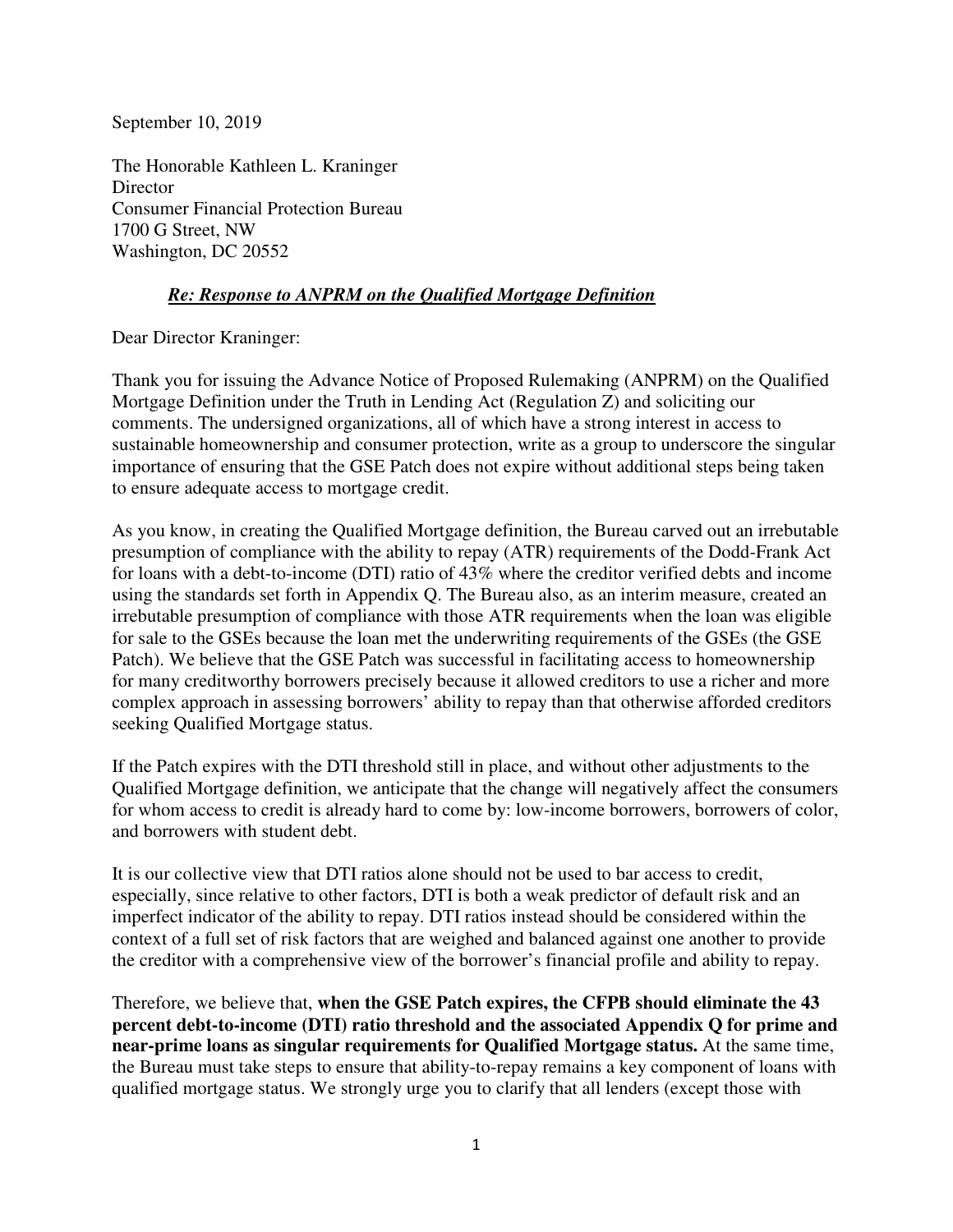September 10, 2019

The Honorable Kathleen L. Kraninger **Director** Consumer Financial Protection Bureau 1700 G Street, NW Washington, DC 20552

## *Re: Response to ANPRM on the Qualified Mortgage Definition*

Dear Director Kraninger:

Thank you for issuing the Advance Notice of Proposed Rulemaking (ANPRM) on the Qualified Mortgage Definition under the Truth in Lending Act (Regulation Z) and soliciting our comments. The undersigned organizations, all of which have a strong interest in access to sustainable homeownership and consumer protection, write as a group to underscore the singular importance of ensuring that the GSE Patch does not expire without additional steps being taken to ensure adequate access to mortgage credit.

As you know, in creating the Qualified Mortgage definition, the Bureau carved out an irrebutable presumption of compliance with the ability to repay (ATR) requirements of the Dodd-Frank Act for loans with a debt-to-income (DTI) ratio of 43% where the creditor verified debts and income using the standards set forth in Appendix Q. The Bureau also, as an interim measure, created an irrebutable presumption of compliance with those ATR requirements when the loan was eligible for sale to the GSEs because the loan met the underwriting requirements of the GSEs (the GSE Patch). We believe that the GSE Patch was successful in facilitating access to homeownership for many creditworthy borrowers precisely because it allowed creditors to use a richer and more complex approach in assessing borrowers' ability to repay than that otherwise afforded creditors seeking Qualified Mortgage status.

If the Patch expires with the DTI threshold still in place, and without other adjustments to the Qualified Mortgage definition, we anticipate that the change will negatively affect the consumers for whom access to credit is already hard to come by: low-income borrowers, borrowers of color, and borrowers with student debt.

It is our collective view that DTI ratios alone should not be used to bar access to credit, especially, since relative to other factors, DTI is both a weak predictor of default risk and an imperfect indicator of the ability to repay. DTI ratios instead should be considered within the context of a full set of risk factors that are weighed and balanced against one another to provide the creditor with a comprehensive view of the borrower's financial profile and ability to repay.

Therefore, we believe that, **when the GSE Patch expires, the CFPB should eliminate the 43 percent debt-to-income (DTI) ratio threshold and the associated Appendix Q for prime and near-prime loans as singular requirements for Qualified Mortgage status.** At the same time, the Bureau must take steps to ensure that ability-to-repay remains a key component of loans with qualified mortgage status. We strongly urge you to clarify that all lenders (except those with